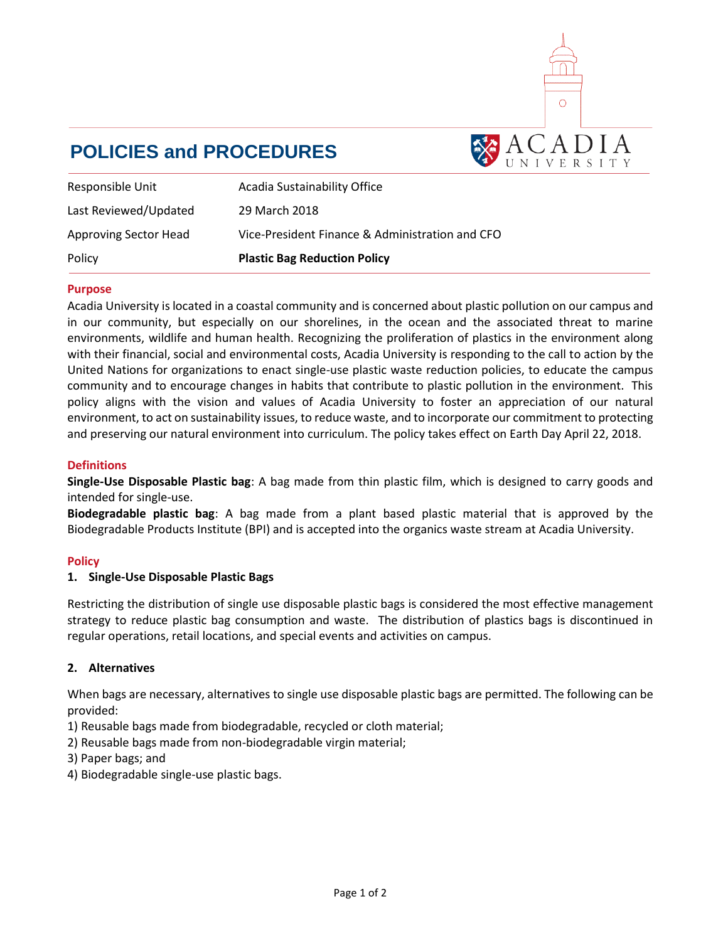

# **POLICIES and PROCEDURES**

| Responsible Unit             | Acadia Sustainability Office                    |
|------------------------------|-------------------------------------------------|
| Last Reviewed/Updated        | 29 March 2018                                   |
| <b>Approving Sector Head</b> | Vice-President Finance & Administration and CFO |
| Policy                       | <b>Plastic Bag Reduction Policy</b>             |

#### **Purpose**

Acadia University is located in a coastal community and is concerned about plastic pollution on our campus and in our community, but especially on our shorelines, in the ocean and the associated threat to marine environments, wildlife and human health. Recognizing the proliferation of plastics in the environment along with their financial, social and environmental costs, Acadia University is responding to the call to action by the United Nations for organizations to enact single-use plastic waste reduction policies, to educate the campus community and to encourage changes in habits that contribute to plastic pollution in the environment. This policy aligns with the vision and values of Acadia University to foster an appreciation of our natural environment, to act on sustainability issues, to reduce waste, and to incorporate our commitment to protecting and preserving our natural environment into curriculum. The policy takes effect on Earth Day April 22, 2018.

#### **Definitions**

**Single-Use Disposable Plastic bag**: A bag made from thin plastic film, which is designed to carry goods and intended for single-use.

**Biodegradable plastic bag**: A bag made from a plant based plastic material that is approved by the Biodegradable Products Institute (BPI) and is accepted into the organics waste stream at Acadia University.

## **Policy**

#### **1. Single-Use Disposable Plastic Bags**

Restricting the distribution of single use disposable plastic bags is considered the most effective management strategy to reduce plastic bag consumption and waste. The distribution of plastics bags is discontinued in regular operations, retail locations, and special events and activities on campus.

## **2. Alternatives**

When bags are necessary, alternatives to single use disposable plastic bags are permitted. The following can be provided:

- 1) Reusable bags made from biodegradable, recycled or cloth material;
- 2) Reusable bags made from non-biodegradable virgin material;
- 3) Paper bags; and
- 4) Biodegradable single-use plastic bags.